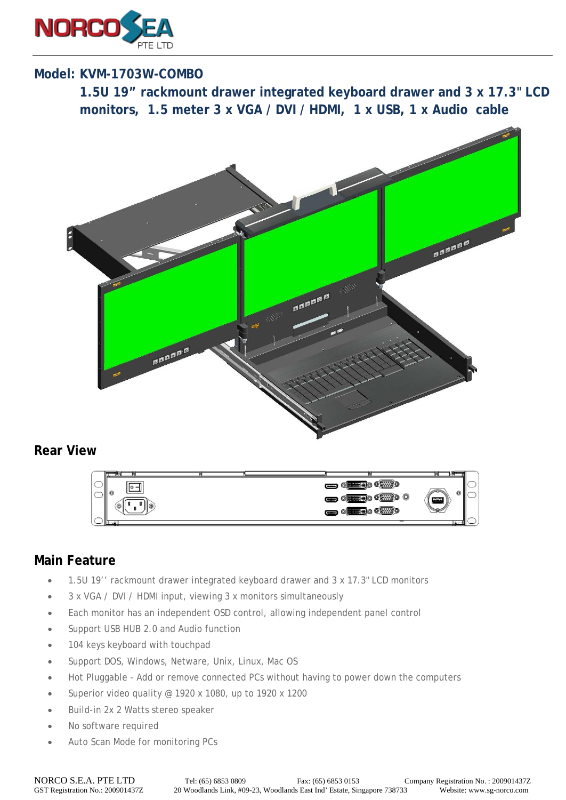

## **Model: KVM-1703W-COMBO**

**1.5U 19" rackmount drawer integrated keyboard drawer and 3 x 17.3" LCD monitors, 1.5 meter 3 x VGA / DVI / HDMI, 1 x USB, 1 x Audio cable**



## **Rear View**



## **Main Feature**

- 1.5U 19'' rackmount drawer integrated keyboard drawer and 3 x 17.3" LCD monitors
- 3 x VGA / DVI / HDMI input, viewing 3 x monitors simultaneously
- Each monitor has an independent OSD control, allowing independent panel control
- Support USB HUB 2.0 and Audio function
- 104 keys keyboard with touchpad
- Support DOS, Windows, Netware, Unix, Linux, Mac OS
- Hot Pluggable Add or remove connected PCs without having to power down the computers
- Superior video quality @ 1920 x 1080, up to 1920 x 1200
- Build-in 2x 2 Watts stereo speaker
- No software required
- Auto Scan Mode for monitoring PCs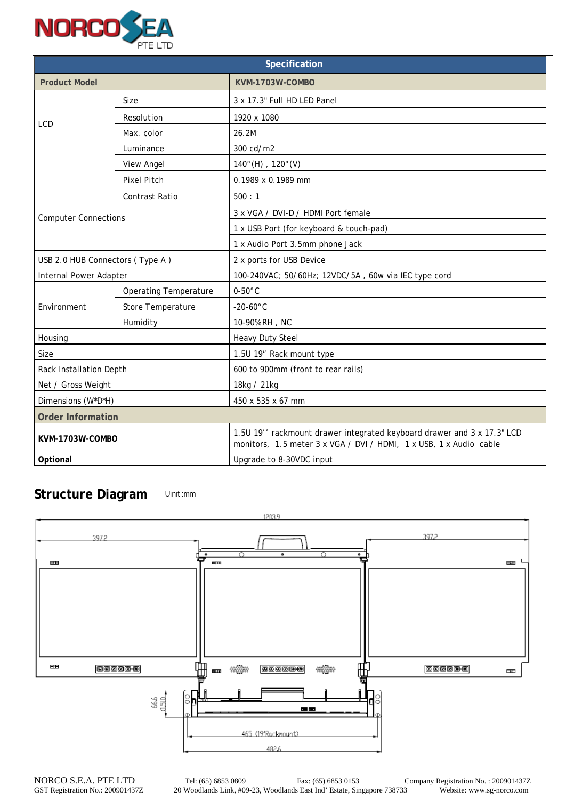

| Specification                   |                              |                                                                                                                                              |
|---------------------------------|------------------------------|----------------------------------------------------------------------------------------------------------------------------------------------|
| <b>Product Model</b>            |                              | KVM-1703W-COMBO                                                                                                                              |
| <b>LCD</b>                      | Size                         | 3 x 17.3" Full HD LED Panel                                                                                                                  |
|                                 | Resolution                   | 1920 x 1080                                                                                                                                  |
|                                 | Max. color                   | 26.2M                                                                                                                                        |
|                                 | Luminance                    | 300 cd/m2                                                                                                                                    |
|                                 | <b>View Angel</b>            | $140^{\circ}$ (H), $120^{\circ}$ (V)                                                                                                         |
|                                 | <b>Pixel Pitch</b>           | 0.1989 x 0.1989 mm                                                                                                                           |
|                                 | Contrast Ratio               | 500:1                                                                                                                                        |
| <b>Computer Connections</b>     |                              | 3 x VGA / DVI-D / HDMI Port female                                                                                                           |
|                                 |                              | 1 x USB Port (for keyboard & touch-pad)                                                                                                      |
|                                 |                              | 1 x Audio Port 3.5mm phone Jack                                                                                                              |
| USB 2.0 HUB Connectors (Type A) |                              | 2 x ports for USB Device                                                                                                                     |
| Internal Power Adapter          |                              | 100-240VAC; 50/60Hz; 12VDC/5A, 60w via IEC type cord                                                                                         |
| Environment                     | <b>Operating Temperature</b> | $0-50^{\circ}$ C                                                                                                                             |
|                                 | Store Temperature            | $-20-60$ °C                                                                                                                                  |
|                                 | Humidity                     | 10-90% RH, NC                                                                                                                                |
| Housing                         |                              | Heavy Duty Steel                                                                                                                             |
| Size                            |                              | 1.5U 19" Rack mount type                                                                                                                     |
| Rack Installation Depth         |                              | 600 to 900mm (front to rear rails)                                                                                                           |
| Net / Gross Weight              |                              | 18kg / 21kg                                                                                                                                  |
| Dimensions (W*D*H)              |                              | 450 x 535 x 67 mm                                                                                                                            |
| <b>Order Information</b>        |                              |                                                                                                                                              |
| KVM-1703W-COMBO                 |                              | 1.5U 19" rackmount drawer integrated keyboard drawer and 3 x 17.3" LCD<br>monitors, 1.5 meter 3 x VGA / DVI / HDMI, 1 x USB, 1 x Audio cable |
| Optional                        |                              | Upgrade to 8-30VDC input                                                                                                                     |

## **Structure Diagram**Uinit :mm